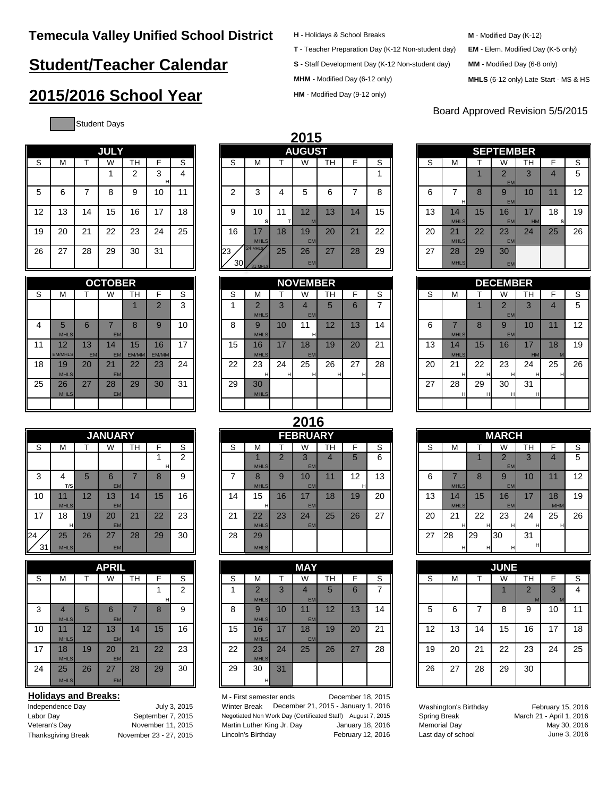# **Student/Teacher Calendar**

# **2015/2016 School Year**

Student Days

| H - Holidays & School Breaks |  |  |
|------------------------------|--|--|
|------------------------------|--|--|

**T** - Teacher Preparation Day (K-12 Non-student day) **EM** - Elem. Modified Day (K-5 only)

**S** - Staff Development Day (K-12 Non-student day)

**MHM** - Modified Day (6-12 only)

**HM** - Modified Day (9-12 only)

| M - Modified Day (K-12) |
|-------------------------|
|-------------------------|

- 
- **MM** Modified Day (6-8 only)
- **MHLS** (6-12 only) Late Start MS & HS

## Board Approved Revision 5/5/2015

**JULY**

|    |                      |                 | <b>OCTOBER</b>  |             |                |    |
|----|----------------------|-----------------|-----------------|-------------|----------------|----|
| S  | М                    | т               | W               | TН          | F              | S  |
|    |                      |                 |                 | 1           | $\overline{2}$ | 3  |
| 4  | 5<br><b>MHLS</b>     | 6               | 7<br><b>EM</b>  | 8           | 9              | 10 |
| 11 | 12<br><b>EM/MHLS</b> | 13<br><b>EM</b> | 14<br><b>EM</b> | 15<br>EM/MN | 16<br>EM/MM    | 17 |
| 18 | 19<br><b>MHLS</b>    | 20              | 21<br><b>EM</b> | 22          | 23             | 24 |
| 25 | 26<br><b>MHLS</b>    | 27              | 28<br><b>EM</b> | 29          | 30             | 31 |
|    |                      |                 |                 |             |                |    |

|          | <b>JANUARY</b>         |    |                 |                |        |                |  |  |  |
|----------|------------------------|----|-----------------|----------------|--------|----------------|--|--|--|
| S        | М                      | Т  | W               | TН             | F      | S              |  |  |  |
|          |                        |    |                 |                | 4<br>н | $\overline{2}$ |  |  |  |
| 3        | 4<br>T/S               | 5  | 6<br><b>EM</b>  | $\overline{7}$ | 8      | 9              |  |  |  |
| 10       | 11<br><b>MHLS</b>      | 12 | 13<br><b>EM</b> | 14             | 15     | 16             |  |  |  |
| 17       | 18<br>н                | 19 | 20<br><b>EM</b> | 21             | 22     | 23             |  |  |  |
| 24<br>31 | 25<br>MHI <sub>S</sub> | 26 | 27<br><b>FM</b> | 28             | 29     | 30             |  |  |  |

|    |             |    | <b>APRIL</b> |    |    |    |    |                |    | <b>MAY</b>     |
|----|-------------|----|--------------|----|----|----|----|----------------|----|----------------|
| S  | M           |    | W            | тн | F  | S  | S  | M              |    | W              |
|    |             |    |              |    |    | 2  | 1  | $\overline{2}$ | 3  | $\overline{4}$ |
|    |             |    |              |    | н  |    |    | <b>MHLS</b>    |    | <b>EM</b>      |
| 3  | 4           | 5  | 6            | 7  | 8  | 9  | 8  | 9              | 10 | 11             |
|    | <b>MHLS</b> |    | <b>EM</b>    |    |    |    |    | <b>MHLS</b>    |    | <b>EM</b>      |
| 10 | 11          | 12 | 13           | 14 | 15 | 16 | 15 | 16             | 17 | 18             |
|    | <b>MHLS</b> |    | <b>EM</b>    |    |    |    |    | <b>MHLS</b>    |    | <b>EM</b>      |
| 17 | 18          | 19 | 20           | 21 | 22 | 23 | 22 | 23             | 24 | 25             |
|    | <b>MHLS</b> |    | <b>EM</b>    |    |    |    |    | <b>MHLS</b>    |    |                |
| 24 | 25          | 26 | 27           | 28 | 29 | 30 | 29 | 30             | 31 |                |
|    | <b>MHLS</b> |    | <b>EM</b>    |    |    |    |    | H              |    |                |

| Independence Day   |  |
|--------------------|--|
| Labor Day          |  |
| Veteran's Day      |  |
| Thonkegiving Prook |  |

| July 3, 2015           |  |
|------------------------|--|
| September 7, 2015      |  |
| November 11, 2015      |  |
| November 23 - 27. 2015 |  |

|    | 2015 |    |             |           |        |    |  |                        |                     |    |                 |           |    |    |        |                   |    |                  |                 |         |    |
|----|------|----|-------------|-----------|--------|----|--|------------------------|---------------------|----|-----------------|-----------|----|----|--------|-------------------|----|------------------|-----------------|---------|----|
|    |      |    | <b>JULY</b> |           |        |    |  |                        |                     |    | <b>AUGUST</b>   |           |    |    |        |                   |    | <b>SEPTEMBER</b> |                 |         |    |
| S  | M    |    | W           | <b>TH</b> | Е      | S  |  | S.                     | М                   |    | W               | <b>TH</b> | Е  | S  | S      | М                 |    | W                | <b>TH</b>       | E       | S  |
|    |      |    |             | ົ         | $\sim$ | 4  |  |                        |                     |    |                 |           |    |    |        |                   |    | C<br><b>EM</b>   | $\Omega$<br>3   |         | 5  |
| 5  | 6    |    | 8           | 9         | 10     | 44 |  | ົ                      | 3                   |    | 5               | 6         |    | 8  | ⌒<br>n | н                 | 8  | 9<br><b>EM</b>   | 10              | 11      | 12 |
| 12 | 13   | 14 | 15          | 16        | 17     | 18 |  | 9                      | 10                  |    | 12              | 13        | 14 | 15 | 13     | 14<br><b>MHLS</b> | 15 | 16<br><b>EM</b>  | 17<br><b>HM</b> | 18<br>s | 19 |
| 19 | 20   | 21 | 22          | 23        | 24     | 25 |  | 16                     | 17<br><b>MHLS</b>   | 18 | 19<br><b>EM</b> | 20        | 21 | 22 | 20     | 21<br><b>MHLS</b> | 22 | 23<br><b>EM</b>  | 24              | 25      | 26 |
| 26 | 27   | 28 | 29          | 30        | 31     |    |  | 123<br>30 <sup>1</sup> | 24 MHLS<br>31 MHI S | 25 | 26<br>EM        | 27        | 28 | 29 | 27     | 28<br><b>MHLS</b> | 29 | 30<br>EM         |                 |         |    |

|    |                          |                                                   | <b>OCTOBER</b>               |             |             |    |        |                           |                          | <b>NOVEMBER</b> |         |    |    |         |                   |        | <b>DECEMBER</b>         |                    |    |    |
|----|--------------------------|---------------------------------------------------|------------------------------|-------------|-------------|----|--------|---------------------------|--------------------------|-----------------|---------|----|----|---------|-------------------|--------|-------------------------|--------------------|----|----|
| S  | м                        |                                                   | W                            | TН          |             | S  | ົ<br>C | м                         |                          | W               | TН      | E  | S  | ົ<br>C  | м                 |        | W                       | <b>TH</b>          |    | S  |
|    |                          |                                                   |                              |             |             | ົ  |        | $\sqrt{2}$<br><b>MHLS</b> |                          | <b>EM</b>       | 5       | 6  |    |         |                   |        | $\sqrt{2}$<br><b>EM</b> | $\sqrt{2}$         |    | 5  |
| 4  | <b>MHLS</b>              |                                                   | <b>EM</b>                    | o           |             | ιU | C<br>Ο | 9<br><b>MHLS</b>          | 10                       |                 | 12      | 13 | 14 | ⌒<br>O  | <b>MHLS</b>       | c<br>Ŏ | 9<br><b>EM</b>          | 10                 |    | 12 |
| 11 | $\sim$<br><b>EM/MHLS</b> | $\overline{\phantom{a}}$<br><b>D</b><br><b>EM</b> | 14<br><b>EM</b>              | 15<br>EM/MM | 16<br>EM/MM | 17 | 15     | 16<br><b>MHLS</b>         | $\overline{\phantom{a}}$ | 18<br><b>EM</b> | 19      | 20 | 21 | 13      | 14<br><b>MHLS</b> | 15     | 16                      | $-17$<br><b>HM</b> | 18 | 19 |
| 18 | 19<br><b>MHLS</b>        | 20                                                | $\Omega$<br>∠ ।<br><b>EM</b> | 22          | ററ<br>د∠    | 24 | 22     | 23                        | 24                       | 25              | 26<br>н | 27 | 28 | 20      | ີ<br>∠∣           | 22     | 23                      | 24                 | 25 | 26 |
| 25 | 26<br><b>MHLS</b>        | $\sim$<br>ا ے                                     | 28<br><b>EM</b>              | 29          | 30          | 31 | 29     | 30<br><b>MHLS</b>         |                          |                 |         |    |    | 27<br>ے | 28<br>н           | 29     | 30                      | 31                 |    |    |
|    |                          |                                                   |                              |             |             |    |        |                           |                          |                 |         |    |    |         |                   |        |                         |                    |    |    |

|              |    | -- - -          |    |    |    |    |                               |    |                             |          |         |    |
|--------------|----|-----------------|----|----|----|----|-------------------------------|----|-----------------------------|----------|---------|----|
|              |    | <b>AUGUST</b>   |    |    |    |    |                               |    | <b>SEPTEMBER</b>            |          |         |    |
|              |    | W               | TН | F  | S  | S  | м                             |    | W                           | тн       | F       | S  |
|              |    |                 |    |    | 4  |    |                               |    | $\overline{2}$<br><b>EM</b> | 3        | 4       | 5  |
|              | 4  | 5               | 6  | 7  | 8  | 6  | н                             | 8  | 9<br><b>EM</b>              | 10       | 1       | 12 |
| sl           | 11 | 12<br>M         | 13 | 14 | 15 | 13 | 14<br><b>MHLS</b>             | 15 | 16<br><b>EM</b>             | 17<br>HM | 18<br>s | 19 |
| S            | 18 | 19<br><b>EM</b> | 20 | 21 | 22 | 20 | 2 <sub>1</sub><br><b>MHLS</b> | 22 | 23<br><b>EM</b>             | 24       | 25      | 26 |
|              | 25 | 26              | 27 | 28 | 29 | 27 | 28                            | 29 | 30                          |          |         |    |
| $\mathbf{s}$ |    | <b>EM</b>       |    |    |    |    | <b>MHLS</b>                   |    | <b>EM</b>                   |          |         |    |

| <b>DECEMBER</b> |                               |         |                             |                 |                |    |  |  |
|-----------------|-------------------------------|---------|-----------------------------|-----------------|----------------|----|--|--|
| S               | М                             | т       | W                           | TH              | F              | S  |  |  |
|                 |                               | 1       | $\overline{2}$<br><b>EM</b> | 3               | $\overline{4}$ | 5  |  |  |
| 6               | $\overline{7}$<br><b>MHLS</b> | 8       | 9<br><b>EM</b>              | 10              | 11             | 12 |  |  |
| 13              | 14<br><b>MHLS</b>             | 15      | 16                          | 17<br><b>HM</b> | 18<br>M        | 19 |  |  |
| 20              | 21<br>н                       | 22<br>н | 23<br>н                     | 24<br>н         | 25<br>н        | 26 |  |  |
| 27              | 28<br>н                       | 29<br>Н | 30<br>н                     | 31<br>н         |                |    |  |  |
|                 |                               |         |                             |                 |                |    |  |  |

|          |                   |    | <b>JANUARY</b>        |    |    |    |    |                                 |    | <b>FEBRUARY</b> |    |    |    |    |                   |         | <b>MARCH</b>    |           |                  |    |
|----------|-------------------|----|-----------------------|----|----|----|----|---------------------------------|----|-----------------|----|----|----|----|-------------------|---------|-----------------|-----------|------------------|----|
| $\sim$   | М                 |    | W                     | TН | ᆮ  | S  | S  | м                               |    | W               | TН | E  | S  | S  | м                 |         | W               | <b>TH</b> |                  | S  |
|          |                   |    |                       |    | н  | ◠  |    | <b>MHLS</b>                     |    | <b>EM</b>       |    | 5  | 6  |    |                   |         | ◠<br><b>EM</b>  | . .       |                  | 5  |
| ົ        | 4<br>T/SI         |    | 6<br>EM               |    | O  | 9  |    | <b>MHLS</b>                     | 9  | 10<br><b>EM</b> |    | 12 | 13 | 6  | <b>MHLS</b>       |         | 9<br><b>EM</b>  | 10        |                  | 12 |
| 10       | <b>MHLS</b>       | 12 | 12<br>IJ<br>EM        | 14 | 15 | 16 | 14 | 15                              | 16 | 17<br><b>EM</b> | 18 | 19 | 20 | 13 | 14<br><b>MHLS</b> | 15      | 16<br><b>EM</b> | 17        | 18<br><b>MHM</b> | 19 |
| 17       | 18                | 19 | 20<br>EM              | 21 | 22 | 23 | 21 | າາ<br>$\epsilon$<br><b>MHLS</b> | 23 | 24<br><b>EM</b> | 25 | 26 | 27 | 20 | 21                | 22<br>н | 23              | 24<br>н   | 25<br>H          | 26 |
| 24<br>31 | 25<br><b>MHLS</b> | 26 | っっ<br>27<br><b>EM</b> | 28 | 29 | 30 | 28 | 29<br><b>MHLS</b>               |    |                 |    |    |    | 27 | 128               | 29      | 30              | 31        |                  |    |

| <b>APRIL</b> |             |    |           |    | <b>MAY</b> |        |  |        |             | <b>JUNE</b>    |           |           |    |    |        |    |    |    |           |    |    |
|--------------|-------------|----|-----------|----|------------|--------|--|--------|-------------|----------------|-----------|-----------|----|----|--------|----|----|----|-----------|----|----|
| S            | м           |    | W         | TH |            | S      |  | c<br>5 | М           |                | W         | <b>TH</b> | Е  | S  | c<br>っ | м  |    | W  | <b>TH</b> |    | S  |
|              |             |    |           |    |            | $\sim$ |  |        | $\Omega$    | . .            |           | 5         | 6  | ⇁  |        |    |    |    | $\sim$    |    | 4  |
|              |             |    |           |    |            |        |  |        | <b>MHLS</b> |                | <b>EM</b> |           |    |    |        |    |    |    |           |    |    |
| 3            |             | 5  | 6         |    | $\Omega$   | 9      |  | o      | 9           | 10             | 11        | 12        | 13 | 14 | 5      | ∽  |    | 8  | 9         | 10 | 11 |
|              | <b>MHLS</b> |    | <b>EM</b> |    |            |        |  |        | <b>MHLS</b> |                | <b>EM</b> |           |    |    |        |    |    |    |           |    |    |
| 10           | 14          | 12 | 13        | 14 | 15         | 16     |  | 15     | 16          | $\blacksquare$ | 18        | 19        | 20 | 21 | 12     | 13 | 14 | 15 | 16        | 17 | 18 |
|              | <b>MHLS</b> |    | <b>EM</b> |    |            |        |  |        | <b>MHLS</b> |                | <b>EM</b> |           |    |    |        |    |    |    |           |    |    |
| 17           | 18          | 19 | 20        | 21 | 22         | 23     |  | 22     | 23          | 24             | 25        | 26        | 27 | 28 | 19     | 20 | 21 | 22 | 23        | 24 | 25 |
|              | <b>MHLS</b> |    | <b>EM</b> |    |            |        |  |        | <b>MHLS</b> |                |           |           |    |    |        |    |    |    |           |    |    |
| 24           | 25          | 26 | 27        | 28 | 29         | 30     |  | 29     | 30          | 31             |           |           |    |    | 26     | 27 | 28 | 29 | 30        |    |    |
|              | <b>MHLS</b> |    | <b>EM</b> |    |            |        |  |        | нI          |                |           |           |    |    |        |    |    |    |           |    |    |

**Holidays and Breaks:** M - First semester ends December 18, 2015 Independence Day **Soluty 3, 2015** Winter Break December 21, 2015 - January 1, 2016 Washington's Birthday February 15, 2016 Negotiated Non Work Day (Certificated Staff) August 7, 2015 Spring Break March 21 - April 1, 2016 Veteral Martin Luther King Jr. Day January 18, 2016 Memorial Day Julie 3, 2016 May 30, 2016<br>Ching Artin Luther Sing June 3, 2016 Last day of school June 3, 2016 Thanksgiving Break November 23 - 27, 2015 Lincoln's Birthday February 12, 2016

|    | <b>MARCH</b>      |         |                             |         |                  |    |  |  |
|----|-------------------|---------|-----------------------------|---------|------------------|----|--|--|
| S  | М                 | т       | W                           | TН      | F                | S  |  |  |
|    |                   |         | $\overline{2}$<br><b>EM</b> | 3       | $\overline{4}$   | 5  |  |  |
| 6  | 7<br><b>MHLS</b>  | 8       | 9<br><b>EM</b>              | 10      | 11               | 12 |  |  |
| 13 | 14<br><b>MHLS</b> | 15      | 16<br><b>EM</b>             | 17      | 18<br><b>MHM</b> | 19 |  |  |
| 20 | 21<br>н           | 22<br>н | 23<br>н                     | 24<br>н | 25<br>н          | 26 |  |  |
| 27 | 28<br>н           | 29<br>Н | 30<br>н                     | 31<br>н |                  |    |  |  |

| <b>JUNE</b> |    |    |    |                |    |                |  |  |  |  |
|-------------|----|----|----|----------------|----|----------------|--|--|--|--|
| S           | М  | Т  | W  | TН             | F  | S              |  |  |  |  |
|             |    |    | 1  | $\overline{2}$ | 3  | $\overline{4}$ |  |  |  |  |
|             |    |    |    | M              | M  |                |  |  |  |  |
| 5           | 6  | 7  | 8  | 9              | 10 | 11             |  |  |  |  |
| 12          | 13 | 14 | 15 | 16             | 17 | 18             |  |  |  |  |
| 19          | 20 | 21 | 22 | 23             | 24 | 25             |  |  |  |  |
| 26          | 27 | 28 | 29 | 30             |    |                |  |  |  |  |

| Washington's Birthday |
|-----------------------|
| Spring Break          |
| Memorial Day          |
| Last day of school    |